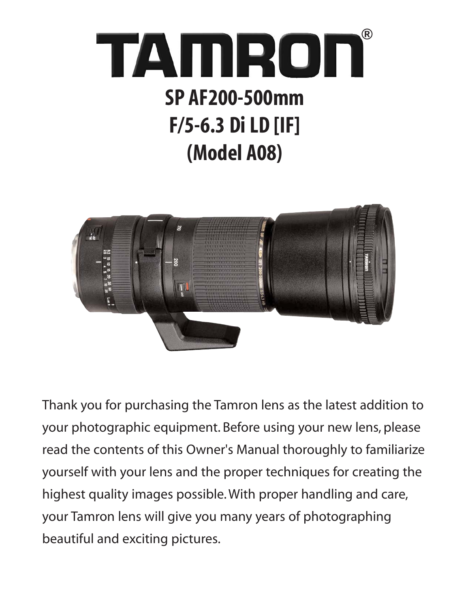



Thank you for purchasing the Tamron lens as the latest addition to your photographic equipment. Before using your new lens, please read the contents of this Owner's Manual thoroughly to familiarize yourself with your lens and the proper techniques for creating the highest quality images possible. With proper handling and care, your Tamron lens will give you many years of photographing beautiful and exciting pictures.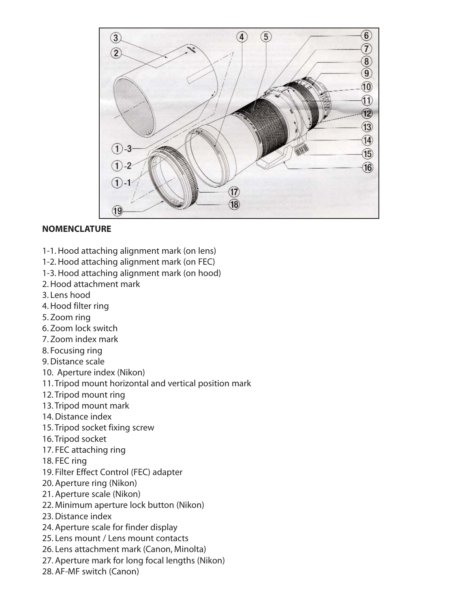

#### **NOMENCLATURE**

- 1-1. Hood attaching alignment mark (on lens)
- 1-2. Hood attaching alignment mark (on FEC)
- 1-3. Hood attaching alignment mark (on hood)
- 2. Hood attachment mark
- 3. Lens hood
- 4. Hood filter ring
- 5. Zoom ring
- 6. Zoom lock switch
- 7. Zoom index mark
- 8. Focusing ring
- 9. Distance scale
- 10. Aperture index (Nikon)
- 11. Tripod mount horizontal and vertical position mark
- 12. Tripod mount ring
- 13. Tripod mount mark
- 14. Distance index
- 15. Tripod socket fixing screw
- 16. Tripod socket
- 17. FEC attaching ring
- 18. FEC ring
- 19. Filter Effect Control (FEC) adapter
- 20. Aperture ring (Nikon)
- 21. Aperture scale (Nikon)
- 22. Minimum aperture lock button (Nikon)
- 23. Distance index
- 24. Aperture scale for finder display
- 25. Lens mount / Lens mount contacts
- 26. Lens attachment mark (Canon, Minolta)
- 27. Aperture mark for long focal lengths (Nikon)
- 28. AF-MF switch (Canon)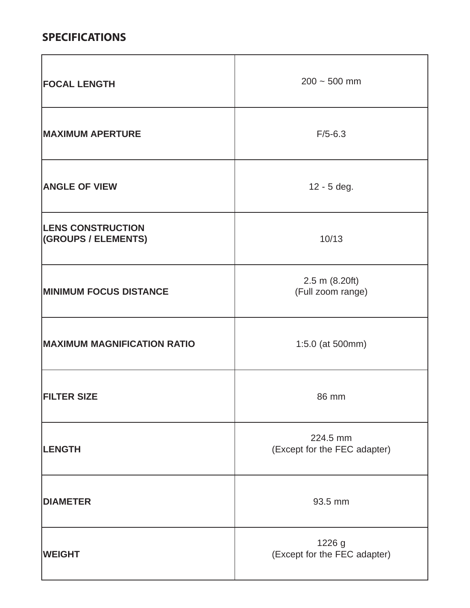#### **SPECIFICATIONS**

| <b>FOCAL LENGTH</b>                             | $200 - 500$ mm                           |
|-------------------------------------------------|------------------------------------------|
| <b>MAXIMUM APERTURE</b>                         | $F/5 - 6.3$                              |
| <b>ANGLE OF VIEW</b>                            | 12 - 5 deg.                              |
| <b>LENS CONSTRUCTION</b><br>(GROUPS / ELEMENTS) | 10/13                                    |
| <b>MINIMUM FOCUS DISTANCE</b>                   | 2.5 m (8.20ft)<br>(Full zoom range)      |
| <b>MAXIMUM MAGNIFICATION RATIO</b>              | 1:5.0 (at 500mm)                         |
| <b>FILTER SIZE</b>                              | 86 mm                                    |
| <b>LENGTH</b>                                   | 224.5 mm<br>(Except for the FEC adapter) |
| <b>DIAMETER</b>                                 | 93.5 mm                                  |
| <b>WEIGHT</b>                                   | 1226 g<br>(Except for the FEC adapter)   |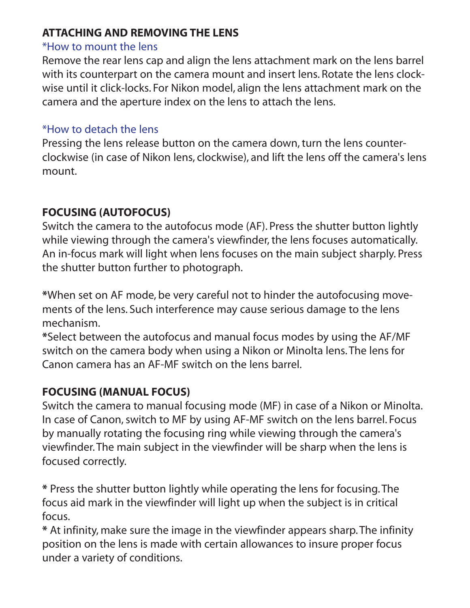### **ATTACHING AND REMOVING THE LENS**

#### \*How to mount the lens

Remove the rear lens cap and align the lens attachment mark on the lens barrel with its counterpart on the camera mount and insert lens. Rotate the lens clockwise until it click-locks. For Nikon model, align the lens attachment mark on the camera and the aperture index on the lens to attach the lens.

#### \*How to detach the lens

Pressing the lens release button on the camera down, turn the lens counterclockwise (in case of Nikon lens, clockwise), and lift the lens off the camera's lens mount.

## **FOCUSING (AUTOFOCUS)**

Switch the camera to the autofocus mode (AF). Press the shutter button lightly while viewing through the camera's viewfinder, the lens focuses automatically. An in-focus mark will light when lens focuses on the main subject sharply. Press the shutter button further to photograph.

**\***When set on AF mode, be very careful not to hinder the autofocusing movements of the lens. Such interference may cause serious damage to the lens mechanism.

**\***Select between the autofocus and manual focus modes by using the AF/MF switch on the camera body when using a Nikon or Minolta lens. The lens for Canon camera has an AF-MF switch on the lens barrel.

## **FOCUSING (MANUAL FOCUS)**

Switch the camera to manual focusing mode (MF) in case of a Nikon or Minolta. In case of Canon, switch to MF by using AF-MF switch on the lens barrel. Focus by manually rotating the focusing ring while viewing through the camera's viewfinder. The main subject in the viewfinder will be sharp when the lens is focused correctly.

**\*** Press the shutter button lightly while operating the lens for focusing. The focus aid mark in the viewfinder will light up when the subject is in critical focus.

**\*** At infinity, make sure the image in the viewfinder appears sharp. The infinity position on the lens is made with certain allowances to insure proper focus under a variety of conditions.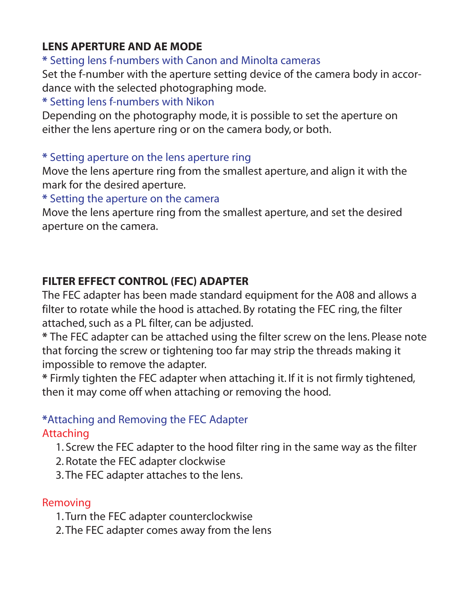## **LENS APERTURE AND AE MODE**

**\*** Setting lens f-numbers with Canon and Minolta cameras

Set the f-number with the aperture setting device of the camera body in accordance with the selected photographing mode.

## **\*** Setting lens f-numbers with Nikon

Depending on the photography mode, it is possible to set the aperture on either the lens aperture ring or on the camera body, or both.

#### **\*** Setting aperture on the lens aperture ring

Move the lens aperture ring from the smallest aperture, and align it with the mark for the desired aperture.

**\*** Setting the aperture on the camera

Move the lens aperture ring from the smallest aperture, and set the desired aperture on the camera.

## **FILTER EFFECT CONTROL (FEC) ADAPTER**

The FEC adapter has been made standard equipment for the A08 and allows a filter to rotate while the hood is attached. By rotating the FEC ring, the filter attached, such as a PL filter, can be adjusted.

**\*** The FEC adapter can be attached using the filter screw on the lens. Please note that forcing the screw or tightening too far may strip the threads making it impossible to remove the adapter.

**\*** Firmly tighten the FEC adapter when attaching it. If it is not firmly tightened, then it may come off when attaching or removing the hood.

# **\***Attaching and Removing the FEC Adapter

Attaching

- 1. Screw the FEC adapter to the hood filter ring in the same way as the filter
- 2. Rotate the FEC adapter clockwise
- 3. The FEC adapter attaches to the lens.

#### Removing

- 1. Turn the FEC adapter counterclockwise
- 2. The FEC adapter comes away from the lens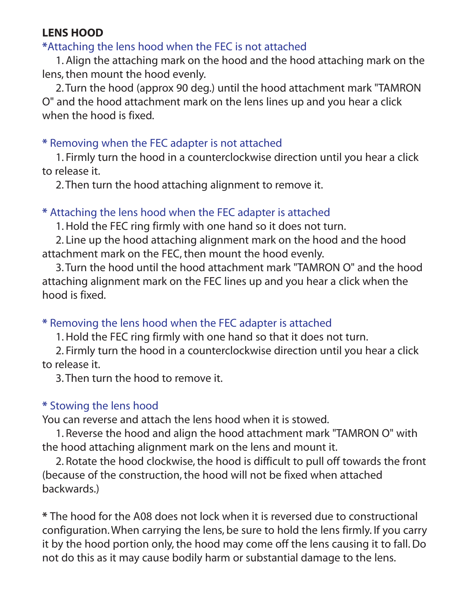#### **LENS HOOD**

### **\***Attaching the lens hood when the FEC is not attached

1. Align the attaching mark on the hood and the hood attaching mark on the lens, then mount the hood evenly.

2. Turn the hood (approx 90 deg.) until the hood attachment mark "TAMRON O" and the hood attachment mark on the lens lines up and you hear a click when the hood is fixed.

#### **\*** Removing when the FEC adapter is not attached

1. Firmly turn the hood in a counterclockwise direction until you hear a click to release it.

2. Then turn the hood attaching alignment to remove it.

#### **\*** Attaching the lens hood when the FEC adapter is attached

1. Hold the FEC ring firmly with one hand so it does not turn.

2. Line up the hood attaching alignment mark on the hood and the hood attachment mark on the FEC, then mount the hood evenly.

3. Turn the hood until the hood attachment mark "TAMRON O" and the hood attaching alignment mark on the FEC lines up and you hear a click when the hood is fixed.

## **\*** Removing the lens hood when the FEC adapter is attached

1. Hold the FEC ring firmly with one hand so that it does not turn.

2. Firmly turn the hood in a counterclockwise direction until you hear a click to release it.

3. Then turn the hood to remove it.

#### **\*** Stowing the lens hood

You can reverse and attach the lens hood when it is stowed.

1. Reverse the hood and align the hood attachment mark "TAMRON O" with the hood attaching alignment mark on the lens and mount it.

2. Rotate the hood clockwise, the hood is difficult to pull off towards the front (because of the construction, the hood will not be fixed when attached backwards.)

**\*** The hood for the A08 does not lock when it is reversed due to constructional configuration. When carrying the lens, be sure to hold the lens firmly. If you carry it by the hood portion only, the hood may come off the lens causing it to fall. Do not do this as it may cause bodily harm or substantial damage to the lens.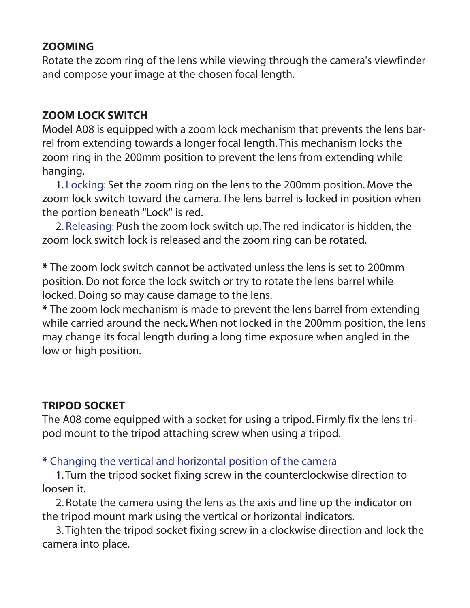#### **ZOOMING**

Rotate the zoom ring of the lens while viewing through the camera's viewfinder and compose your image at the chosen focal length.

### **ZOOM LOCK SWITCH**

Model A08 is equipped with a zoom lock mechanism that prevents the lens barrel from extending towards a longer focal length. This mechanism locks the zoom ring in the 200mm position to prevent the lens from extending while hanging.

1. Locking: Set the zoom ring on the lens to the 200mm position. Move the zoom lock switch toward the camera. The lens barrel is locked in position when the portion beneath "Lock" is red.

2. Releasing: Push the zoom lock switch up. The red indicator is hidden, the zoom lock switch lock is released and the zoom ring can be rotated.

**\*** The zoom lock switch cannot be activated unless the lens is set to 200mm position. Do not force the lock switch or try to rotate the lens barrel while locked. Doing so may cause damage to the lens.

**\*** The zoom lock mechanism is made to prevent the lens barrel from extending while carried around the neck. When not locked in the 200mm position, the lens may change its focal length during a long time exposure when angled in the low or high position.

## **TRIPOD SOCKET**

The A08 come equipped with a socket for using a tripod. Firmly fix the lens tripod mount to the tripod attaching screw when using a tripod.

## **\*** Changing the vertical and horizontal position of the camera

1. Turn the tripod socket fixing screw in the counterclockwise direction to loosen it.

2. Rotate the camera using the lens as the axis and line up the indicator on the tripod mount mark using the vertical or horizontal indicators.

3. Tighten the tripod socket fixing screw in a clockwise direction and lock the camera into place.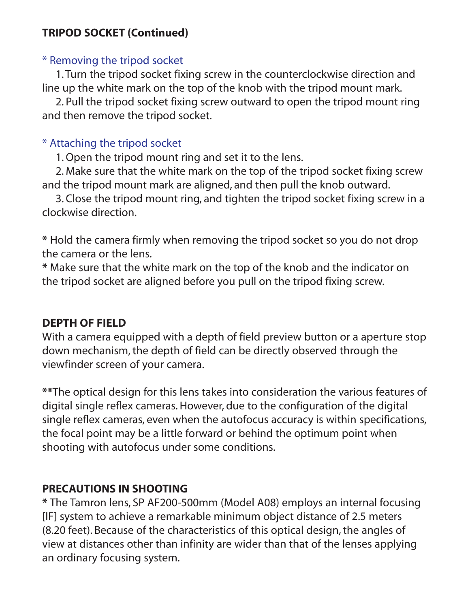#### **TRIPOD SOCKET (Continued)**

#### \* Removing the tripod socket

1. Turn the tripod socket fixing screw in the counterclockwise direction and line up the white mark on the top of the knob with the tripod mount mark.

2. Pull the tripod socket fixing screw outward to open the tripod mount ring and then remove the tripod socket.

## \* Attaching the tripod socket

1. Open the tripod mount ring and set it to the lens.

2. Make sure that the white mark on the top of the tripod socket fixing screw and the tripod mount mark are aligned, and then pull the knob outward.

3. Close the tripod mount ring, and tighten the tripod socket fixing screw in a clockwise direction.

**\*** Hold the camera firmly when removing the tripod socket so you do not drop the camera or the lens.

**\*** Make sure that the white mark on the top of the knob and the indicator on the tripod socket are aligned before you pull on the tripod fixing screw.

#### **DEPTH OF FIELD**

With a camera equipped with a depth of field preview button or a aperture stop down mechanism, the depth of field can be directly observed through the viewfinder screen of your camera.

**\*\***The optical design for this lens takes into consideration the various features of digital single reflex cameras. However, due to the configuration of the digital single reflex cameras, even when the autofocus accuracy is within specifications, the focal point may be a little forward or behind the optimum point when shooting with autofocus under some conditions.

## **PRECAUTIONS IN SHOOTING**

**\*** The Tamron lens, SP AF200-500mm (Model A08) employs an internal focusing [IF] system to achieve a remarkable minimum object distance of 2.5 meters (8.20 feet). Because of the characteristics of this optical design, the angles of view at distances other than infinity are wider than that of the lenses applying an ordinary focusing system.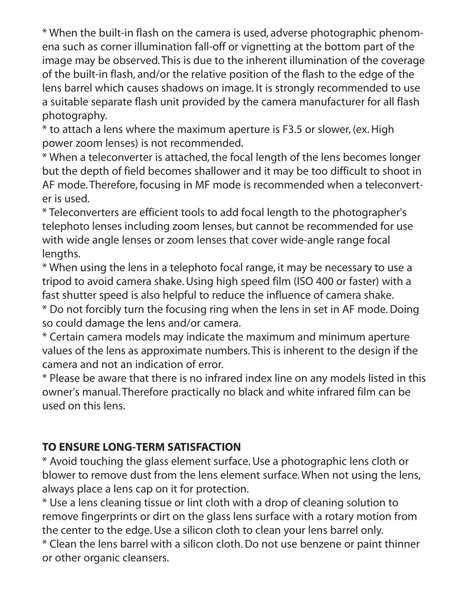\* When the built-in flash on the camera is used, adverse photographic phenomena such as corner illumination fall-off or vignetting at the bottom part of the image may be observed. This is due to the inherent illumination of the coverage of the built-in flash, and/or the relative position of the flash to the edge of the lens barrel which causes shadows on image. It is strongly recommended to use a suitable separate flash unit provided by the camera manufacturer for all flash photography.

\* to attach a lens where the maximum aperture is F3.5 or slower, (ex. High power zoom lenses) is not recommended.

\* When a teleconverter is attached, the focal length of the lens becomes longer but the depth of field becomes shallower and it may be too difficult to shoot in AF mode. Therefore, focusing in MF mode is recommended when a teleconverter is used.

\* Teleconverters are efficient tools to add focal length to the photographer's telephoto lenses including zoom lenses, but cannot be recommended for use with wide angle lenses or zoom lenses that cover wide-angle range focal lengths.

\* When using the lens in a telephoto focal range, it may be necessary to use a tripod to avoid camera shake. Using high speed film (ISO 400 or faster) with a fast shutter speed is also helpful to reduce the influence of camera shake.

\* Do not forcibly turn the focusing ring when the lens in set in AF mode. Doing so could damage the lens and/or camera.

\* Certain camera models may indicate the maximum and minimum aperture values of the lens as approximate numbers. This is inherent to the design if the camera and not an indication of error.

\* Please be aware that there is no infrared index line on any models listed in this owner's manual. Therefore practically no black and white infrared film can be used on this lens.

## **TO ENSURE LONG-TERM SATISFACTION**

\* Avoid touching the glass element surface. Use a photographic lens cloth or blower to remove dust from the lens element surface. When not using the lens, always place a lens cap on it for protection.

\* Use a lens cleaning tissue or lint cloth with a drop of cleaning solution to remove fingerprints or dirt on the glass lens surface with a rotary motion from the center to the edge. Use a silicon cloth to clean your lens barrel only.

\* Clean the lens barrel with a silicon cloth. Do not use benzene or paint thinner or other organic cleansers.